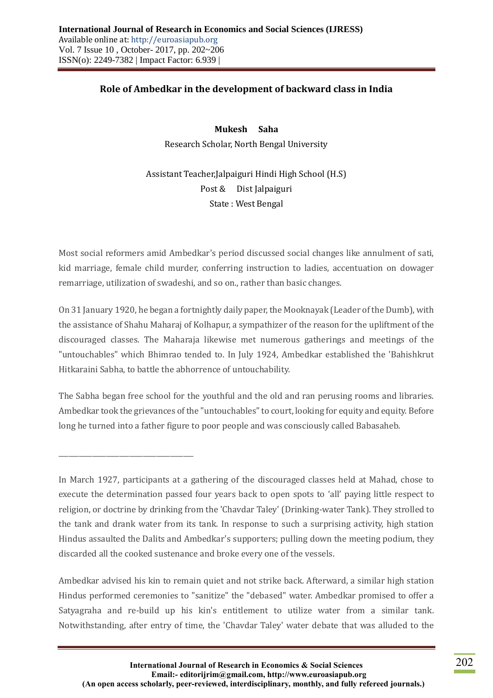## **Role of Ambedkar in the development of backward class in India**

**Mukesh Saha** Research Scholar, North Bengal University

Assistant Teacher,Jalpaiguri Hindi High School (H.S) Post & Dist Jalpaiguri State : West Bengal

Most social reformers amid Ambedkar's period discussed social changes like annulment of sati, kid marriage, female child murder, conferring instruction to ladies, accentuation on dowager remarriage, utilization of swadeshi, and so on., rather than basic changes.

On 31 January 1920, he began a fortnightly daily paper, the Mooknayak (Leader of the Dumb), with the assistance of Shahu Maharaj of Kolhapur, a sympathizer of the reason for the upliftment of the discouraged classes. The Maharaja likewise met numerous gatherings and meetings of the "untouchables" which Bhimrao tended to. In July 1924, Ambedkar established the 'Bahishkrut Hitkaraini Sabha, to battle the abhorrence of untouchability.

The Sabha began free school for the youthful and the old and ran perusing rooms and libraries. Ambedkar took the grievances of the "untouchables" to court, looking for equity and equity. Before long he turned into a father figure to poor people and was consciously called Babasaheb.

\_\_\_\_\_\_\_\_\_\_\_\_\_\_\_\_\_\_\_\_\_\_\_\_\_\_\_\_\_\_\_\_\_\_\_\_\_\_\_\_

Ambedkar advised his kin to remain quiet and not strike back. Afterward, a similar high station Hindus performed ceremonies to "sanitize" the "debased" water. Ambedkar promised to offer a Satyagraha and re-build up his kin's entitlement to utilize water from a similar tank. Notwithstanding, after entry of time, the 'Chavdar Taley' water debate that was alluded to the

In March 1927, participants at a gathering of the discouraged classes held at Mahad, chose to execute the determination passed four years back to open spots to 'all' paying little respect to religion, or doctrine by drinking from the 'Chavdar Taley' (Drinking-water Tank). They strolled to the tank and drank water from its tank. In response to such a surprising activity, high station Hindus assaulted the Dalits and Ambedkar's supporters; pulling down the meeting podium, they discarded all the cooked sustenance and broke every one of the vessels.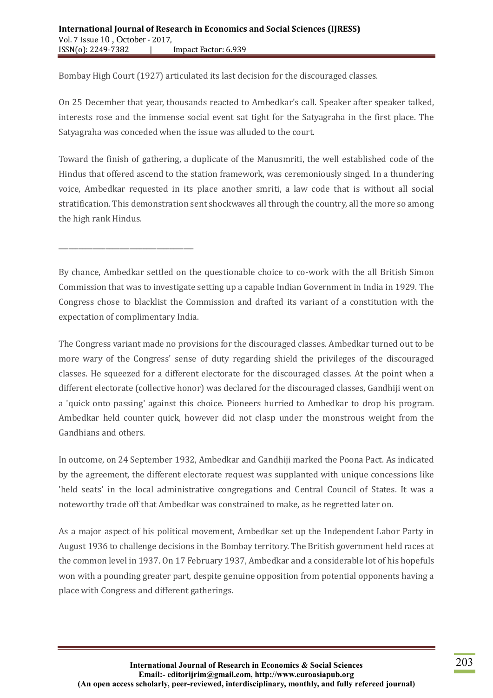\_\_\_\_\_\_\_\_\_\_\_\_\_\_\_\_\_\_\_\_\_\_\_\_\_\_\_\_\_\_\_\_\_\_\_\_\_\_\_\_

Bombay High Court (1927) articulated its last decision for the discouraged classes.

On 25 December that year, thousands reacted to Ambedkar's call. Speaker after speaker talked, interests rose and the immense social event sat tight for the Satyagraha in the first place. The Satyagraha was conceded when the issue was alluded to the court.

Toward the finish of gathering, a duplicate of the Manusmriti, the well established code of the Hindus that offered ascend to the station framework, was ceremoniously singed. In a thundering voice, Ambedkar requested in its place another smriti, a law code that is without all social stratification. This demonstration sent shockwaves all through the country, all the more so among the high rank Hindus.

By chance, Ambedkar settled on the questionable choice to co-work with the all British Simon Commission that was to investigate setting up a capable Indian Government in India in 1929. The Congress chose to blacklist the Commission and drafted its variant of a constitution with the expectation of complimentary India.

The Congress variant made no provisions for the discouraged classes. Ambedkar turned out to be more wary of the Congress' sense of duty regarding shield the privileges of the discouraged classes. He squeezed for a different electorate for the discouraged classes. At the point when a different electorate (collective honor) was declared for the discouraged classes, Gandhiji went on a 'quick onto passing' against this choice. Pioneers hurried to Ambedkar to drop his program. Ambedkar held counter quick, however did not clasp under the monstrous weight from the Gandhians and others.

In outcome, on 24 September 1932, Ambedkar and Gandhiji marked the Poona Pact. As indicated by the agreement, the different electorate request was supplanted with unique concessions like 'held seats' in the local administrative congregations and Central Council of States. It was a noteworthy trade off that Ambedkar was constrained to make, as he regretted later on.

As a major aspect of his political movement, Ambedkar set up the Independent Labor Party in August 1936 to challenge decisions in the Bombay territory. The British government held races at the common level in 1937. On 17 February 1937, Ambedkar and a considerable lot of his hopefuls won with a pounding greater part, despite genuine opposition from potential opponents having a place with Congress and different gatherings.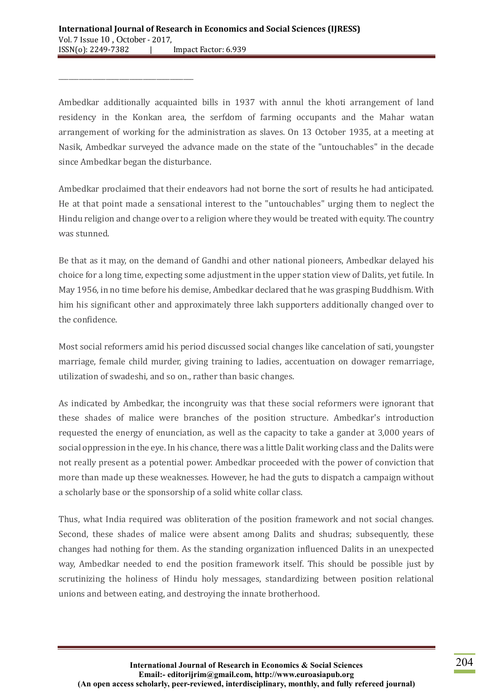\_\_\_\_\_\_\_\_\_\_\_\_\_\_\_\_\_\_\_\_\_\_\_\_\_\_\_\_\_\_\_\_\_\_\_\_\_\_\_\_

Ambedkar additionally acquainted bills in 1937 with annul the khoti arrangement of land residency in the Konkan area, the serfdom of farming occupants and the Mahar watan arrangement of working for the administration as slaves. On 13 October 1935, at a meeting at Nasik, Ambedkar surveyed the advance made on the state of the "untouchables" in the decade since Ambedkar began the disturbance.

Ambedkar proclaimed that their endeavors had not borne the sort of results he had anticipated. He at that point made a sensational interest to the "untouchables" urging them to neglect the Hindu religion and change over to a religion where they would be treated with equity. The country was stunned.

Be that as it may, on the demand of Gandhi and other national pioneers, Ambedkar delayed his choice for a long time, expecting some adjustment in the upper station view of Dalits, yet futile. In May 1956, in no time before his demise, Ambedkar declared that he was grasping Buddhism. With him his significant other and approximately three lakh supporters additionally changed over to the confidence.

Most social reformers amid his period discussed social changes like cancelation of sati, youngster marriage, female child murder, giving training to ladies, accentuation on dowager remarriage, utilization of swadeshi, and so on., rather than basic changes.

As indicated by Ambedkar, the incongruity was that these social reformers were ignorant that these shades of malice were branches of the position structure. Ambedkar's introduction requested the energy of enunciation, as well as the capacity to take a gander at 3,000 years of social oppression in the eye. In his chance, there was a little Dalit working class and the Dalits were not really present as a potential power. Ambedkar proceeded with the power of conviction that more than made up these weaknesses. However, he had the guts to dispatch a campaign without a scholarly base or the sponsorship of a solid white collar class.

Thus, what India required was obliteration of the position framework and not social changes. Second, these shades of malice were absent among Dalits and shudras; subsequently, these changes had nothing for them. As the standing organization influenced Dalits in an unexpected way, Ambedkar needed to end the position framework itself. This should be possible just by scrutinizing the holiness of Hindu holy messages, standardizing between position relational unions and between eating, and destroying the innate brotherhood.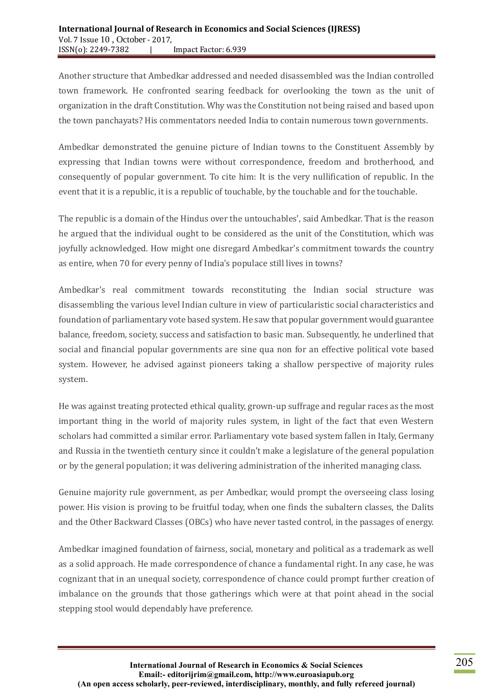Another structure that Ambedkar addressed and needed disassembled was the Indian controlled town framework. He confronted searing feedback for overlooking the town as the unit of organization in the draft Constitution. Why was the Constitution not being raised and based upon the town panchayats? His commentators needed India to contain numerous town governments.

Ambedkar demonstrated the genuine picture of Indian towns to the Constituent Assembly by expressing that Indian towns were without correspondence, freedom and brotherhood, and consequently of popular government. To cite him: It is the very nullification of republic. In the event that it is a republic, it is a republic of touchable, by the touchable and for the touchable.

The republic is a domain of the Hindus over the untouchables', said Ambedkar. That is the reason he argued that the individual ought to be considered as the unit of the Constitution, which was joyfully acknowledged. How might one disregard Ambedkar's commitment towards the country as entire, when 70 for every penny of India's populace still lives in towns?

Ambedkar's real commitment towards reconstituting the Indian social structure was disassembling the various level Indian culture in view of particularistic social characteristics and foundation of parliamentary vote based system. He saw that popular government would guarantee balance, freedom, society, success and satisfaction to basic man. Subsequently, he underlined that social and financial popular governments are sine qua non for an effective political vote based system. However, he advised against pioneers taking a shallow perspective of majority rules system.

He was against treating protected ethical quality, grown-up suffrage and regular races as the most important thing in the world of majority rules system, in light of the fact that even Western scholars had committed a similar error. Parliamentary vote based system fallen in Italy, Germany and Russia in the twentieth century since it couldn't make a legislature of the general population or by the general population; it was delivering administration of the inherited managing class.

Genuine majority rule government, as per Ambedkar, would prompt the overseeing class losing power. His vision is proving to be fruitful today, when one finds the subaltern classes, the Dalits and the Other Backward Classes (OBCs) who have never tasted control, in the passages of energy.

Ambedkar imagined foundation of fairness, social, monetary and political as a trademark as well as a solid approach. He made correspondence of chance a fundamental right. In any case, he was cognizant that in an unequal society, correspondence of chance could prompt further creation of imbalance on the grounds that those gatherings which were at that point ahead in the social stepping stool would dependably have preference.